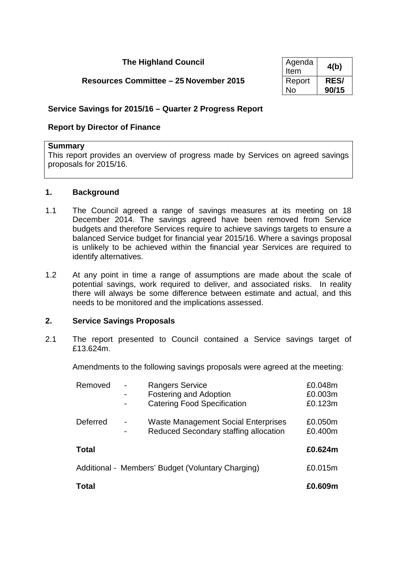# **The Highland Council**

# **Resources Committee – 25 November 2015**

| Agenda<br>Item | 4(b)        |
|----------------|-------------|
| Report         | <b>RES/</b> |
| No             | 90/15       |

### **Service Savings for 2015/16 – Quarter 2 Progress Report**

### **Report by Director of Finance**

#### **Summary**

This report provides an overview of progress made by Services on agreed savings proposals for 2015/16.

#### **1. Background**

- 1.1 The Council agreed a range of savings measures at its meeting on 18 December 2014. The savings agreed have been removed from Service budgets and therefore Services require to achieve savings targets to ensure a balanced Service budget for financial year 2015/16. Where a savings proposal is unlikely to be achieved within the financial year Services are required to identify alternatives.
- 1.2 At any point in time a range of assumptions are made about the scale of potential savings, work required to deliver, and associated risks. In reality there will always be some difference between estimate and actual, and this needs to be monitored and the implications assessed.

#### **2. Service Savings Proposals**

2.1 The report presented to Council contained a Service savings target of £13.624m.

Amendments to the following savings proposals were agreed at the meeting:

| Removed  | <b>Rangers Service</b>                            | £0.048m |
|----------|---------------------------------------------------|---------|
|          | <b>Fostering and Adoption</b>                     | £0.003m |
|          | <b>Catering Food Specification</b>                | £0.123m |
| Deferred | <b>Waste Management Social Enterprises</b>        | £0.050m |
|          | Reduced Secondary staffing allocation             | £0.400m |
| Total    |                                                   | £0.624m |
|          | Additional - Members' Budget (Voluntary Charging) | £0.015m |
| Total    |                                                   | £0.609m |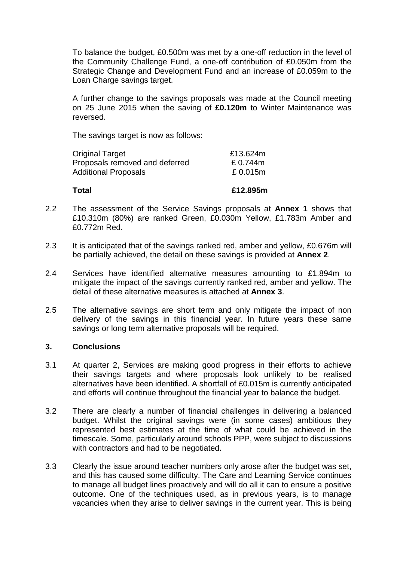To balance the budget, £0.500m was met by a one-off reduction in the level of the Community Challenge Fund, a one-off contribution of £0.050m from the Strategic Change and Development Fund and an increase of £0.059m to the Loan Charge savings target.

A further change to the savings proposals was made at the Council meeting on 25 June 2015 when the saving of **£0.120m** to Winter Maintenance was reversed.

The savings target is now as follows:

| <b>Total</b>                   | £12.895m |
|--------------------------------|----------|
| <b>Additional Proposals</b>    | £0.015m  |
| Proposals removed and deferred | £0.744m  |
| <b>Original Target</b>         | £13.624m |

- 2.2 The assessment of the Service Savings proposals at **Annex 1** shows that £10.310m (80%) are ranked Green, £0.030m Yellow, £1.783m Amber and £0.772m Red.
- 2.3 It is anticipated that of the savings ranked red, amber and yellow, £0.676m will be partially achieved, the detail on these savings is provided at **Annex 2**.
- 2.4 Services have identified alternative measures amounting to £1.894m to mitigate the impact of the savings currently ranked red, amber and yellow. The detail of these alternative measures is attached at **Annex 3**.
- 2.5 The alternative savings are short term and only mitigate the impact of non delivery of the savings in this financial year. In future years these same savings or long term alternative proposals will be required.

### **3. Conclusions**

- 3.1 At quarter 2, Services are making good progress in their efforts to achieve their savings targets and where proposals look unlikely to be realised alternatives have been identified. A shortfall of £0.015m is currently anticipated and efforts will continue throughout the financial year to balance the budget.
- 3.2 There are clearly a number of financial challenges in delivering a balanced budget. Whilst the original savings were (in some cases) ambitious they represented best estimates at the time of what could be achieved in the timescale. Some, particularly around schools PPP, were subject to discussions with contractors and had to be negotiated.
- 3.3 Clearly the issue around teacher numbers only arose after the budget was set, and this has caused some difficulty. The Care and Learning Service continues to manage all budget lines proactively and will do all it can to ensure a positive outcome. One of the techniques used, as in previous years, is to manage vacancies when they arise to deliver savings in the current year. This is being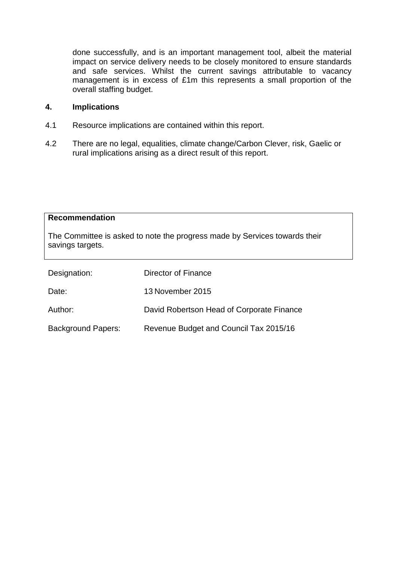done successfully, and is an important management tool, albeit the material impact on service delivery needs to be closely monitored to ensure standards and safe services. Whilst the current savings attributable to vacancy management is in excess of £1m this represents a small proportion of the overall staffing budget.

#### **4. Implications**

- 4.1 Resource implications are contained within this report.
- 4.2 There are no legal, equalities, climate change/Carbon Clever, risk, Gaelic or rural implications arising as a direct result of this report.

| <b>Recommendation</b>                                                                          |                                           |  |  |  |  |  |
|------------------------------------------------------------------------------------------------|-------------------------------------------|--|--|--|--|--|
| The Committee is asked to note the progress made by Services towards their<br>savings targets. |                                           |  |  |  |  |  |
| Designation:                                                                                   | Director of Finance                       |  |  |  |  |  |
| Date:                                                                                          | 13 November 2015                          |  |  |  |  |  |
| Author:                                                                                        | David Robertson Head of Corporate Finance |  |  |  |  |  |
| <b>Background Papers:</b>                                                                      | Revenue Budget and Council Tax 2015/16    |  |  |  |  |  |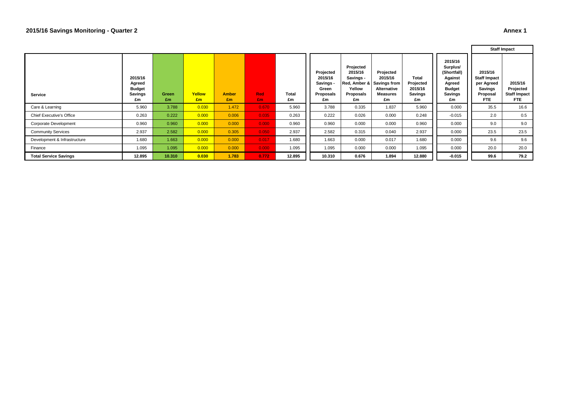#### **2015/16 Savings Monitoring - Quarter 2 Annex 1**

|                                 |                                                            |             |              |                    |                  |             |                                                               |                                                                | <b>Staff Impact</b>                                                                       |                                                              |                                                                                                  |                                                                             |                                                     |
|---------------------------------|------------------------------------------------------------|-------------|--------------|--------------------|------------------|-------------|---------------------------------------------------------------|----------------------------------------------------------------|-------------------------------------------------------------------------------------------|--------------------------------------------------------------|--------------------------------------------------------------------------------------------------|-----------------------------------------------------------------------------|-----------------------------------------------------|
| Service                         | 2015/16<br>Agreed<br><b>Budget</b><br><b>Savings</b><br>£m | Green<br>£m | Yellow<br>£m | <b>Amber</b><br>Em | <b>Red</b><br>£m | Total<br>£m | Projected<br>2015/16<br>Savings -<br>Green<br>Proposals<br>£m | Projected<br>2015/16<br>Savings -<br>Yellow<br>Proposals<br>£m | Projected<br>2015/16<br>Red, Amber & Savings from<br>Alternative<br><b>Measures</b><br>£m | <b>Total</b><br>Projected<br>2015/16<br><b>Savings</b><br>£m | 2015/16<br>Surplus/<br>(Shortfall)<br>Against<br>Agreed<br><b>Budget</b><br><b>Savings</b><br>£m | 2015/16<br><b>Staff Impact</b><br>per Agreed<br>Savings<br>Proposal<br>FTE. | 2015/16<br>Projected<br><b>Staff Impact</b><br>FTE. |
| Care & Learning                 | 5.960                                                      | 3.788       | 0.030        | 1.472              | 0.670            | 5.960       | 3.788                                                         | 0.335                                                          | 1.837                                                                                     | 5.960                                                        | 0.000                                                                                            | 35.5                                                                        | 16.6                                                |
| <b>Chief Executive's Office</b> | 0.263                                                      | 0.222       | 0.000        | 0.006              | 0.035            | 0.263       | 0.222                                                         | 0.026                                                          | 0.000                                                                                     | 0.248                                                        | $-0.015$                                                                                         | 2.0                                                                         | 0.5                                                 |
| Corporate Development           | 0.960                                                      | 0.960       | 0.000        | 0.000              | 0.000            | 0.960       | 0.960                                                         | 0.000                                                          | 0.000                                                                                     | 0.960                                                        | 0.000                                                                                            | 9.0                                                                         | 9.0                                                 |
| <b>Community Services</b>       | 2.937                                                      | 2.582       | 0.000        | 0.305              | 0.050            | 2.937       | 2.582                                                         | 0.315                                                          | 0.040                                                                                     | 2.937                                                        | 0.000                                                                                            | 23.5                                                                        | 23.5                                                |
| Development & Infrastructure    | 1.680                                                      | 1.663       | 0.000        | 0.000              | 0.017            | 1.680       | 1.663                                                         | 0.000                                                          | 0.017                                                                                     | 1.680                                                        | 0.000                                                                                            | 9.6                                                                         | 9.6                                                 |
| Finance                         | 1.095                                                      | 1.095       | 0.000        | 0.000              | 0.000            | 1.095       | 1.095                                                         | 0.000                                                          | 0.000                                                                                     | 1.095                                                        | 0.000                                                                                            | 20.0                                                                        | 20.0                                                |
| <b>Total Service Savings</b>    | 12.895                                                     | 10.310      | 0.030        | 1.783              | 0.772            | 12.895      | 10.310                                                        | 0.676                                                          | 1.894                                                                                     | 12.880                                                       | $-0.015$                                                                                         | 99.6                                                                        | 79.2                                                |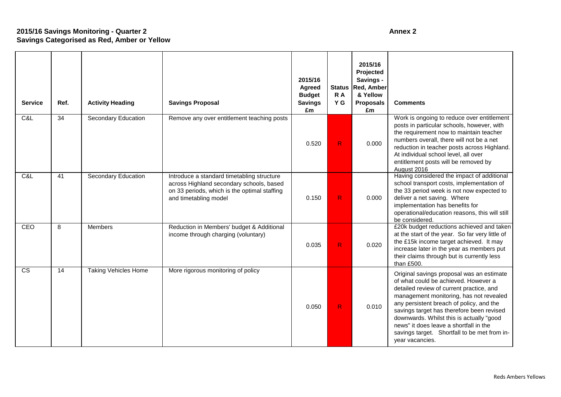# **2015/16 Savings Monitoring - Quarter 2 Annex 2 Savings Categorised as Red, Amber or Yellow**

| <b>Service</b> | Ref.            | <b>Activity Heading</b>     | <b>Savings Proposal</b>                                                                                                                                         | 2015/16<br>Agreed<br><b>Budget</b><br><b>Savings</b><br>£m | <b>Status</b><br>R A<br>Y G | 2015/16<br>Projected<br>Savings -<br>Red, Amber<br>& Yellow<br><b>Proposals</b><br>£m | <b>Comments</b>                                                                                                                                                                                                                                                                                                                                                                                                            |
|----------------|-----------------|-----------------------------|-----------------------------------------------------------------------------------------------------------------------------------------------------------------|------------------------------------------------------------|-----------------------------|---------------------------------------------------------------------------------------|----------------------------------------------------------------------------------------------------------------------------------------------------------------------------------------------------------------------------------------------------------------------------------------------------------------------------------------------------------------------------------------------------------------------------|
| C&L            | $\overline{34}$ | <b>Secondary Education</b>  | Remove any over entitlement teaching posts                                                                                                                      | 0.520                                                      | R                           | 0.000                                                                                 | Work is ongoing to reduce over entitlement<br>posts in particular schools, however, with<br>the requirement now to maintain teacher<br>numbers overall, there will not be a net<br>reduction in teacher posts across Highland.<br>At individual school level, all over<br>entitlement posts will be removed by<br>August 2016                                                                                              |
| C&L            | 41              | Secondary Education         | Introduce a standard timetabling structure<br>across Highland secondary schools, based<br>on 33 periods, which is the optimal staffing<br>and timetabling model | 0.150                                                      | R                           | 0.000                                                                                 | Having considered the impact of additional<br>school transport costs, implementation of<br>the 33 period week is not now expected to<br>deliver a net saving. Where<br>implementation has benefits for<br>operational/education reasons, this will still<br>be considered.                                                                                                                                                 |
| CEO            | 8               | <b>Members</b>              | Reduction in Members' budget & Additional<br>income through charging (voluntary)                                                                                | 0.035                                                      | R                           | 0.020                                                                                 | £20k budget reductions achieved and taken<br>at the start of the year. So far very little of<br>the £15k income target achieved. It may<br>increase later in the year as members put<br>their claims through but is currently less<br>than £500.                                                                                                                                                                           |
| <b>CS</b>      | 14              | <b>Taking Vehicles Home</b> | More rigorous monitoring of policy                                                                                                                              | 0.050                                                      | R                           | 0.010                                                                                 | Original savings proposal was an estimate<br>of what could be achieved. However a<br>detailed review of current practice, and<br>management monitoring, has not revealed<br>any persistent breach of policy, and the<br>savings target has therefore been revised<br>downwards. Whilst this is actually "good<br>news" it does leave a shortfall in the<br>savings target. Shortfall to be met from in-<br>year vacancies. |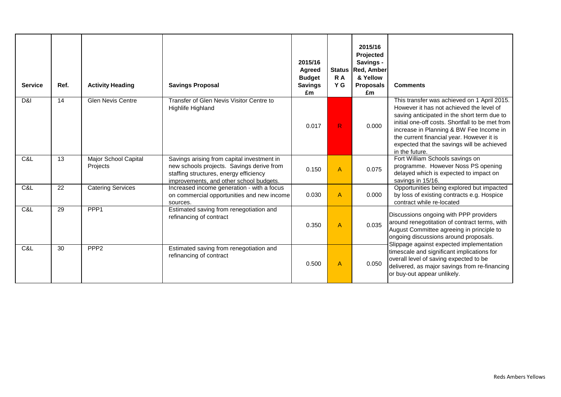| <b>Service</b> | Ref. | <b>Activity Heading</b>          | <b>Savings Proposal</b>                                                                                                                                                      | 2015/16<br>Agreed<br><b>Budget</b><br><b>Savings</b><br>£m | <b>Status</b><br>R A<br>Y G | 2015/16<br>Projected<br>Savings -<br><b>Red, Amber</b><br>& Yellow<br><b>Proposals</b><br>£m | <b>Comments</b>                                                                                                                                                                                                                                                                                                                                   |
|----------------|------|----------------------------------|------------------------------------------------------------------------------------------------------------------------------------------------------------------------------|------------------------------------------------------------|-----------------------------|----------------------------------------------------------------------------------------------|---------------------------------------------------------------------------------------------------------------------------------------------------------------------------------------------------------------------------------------------------------------------------------------------------------------------------------------------------|
| D&I            | 14   | <b>Glen Nevis Centre</b>         | Transfer of Glen Nevis Visitor Centre to<br>Highlife Highland                                                                                                                | 0.017                                                      | R                           | 0.000                                                                                        | This transfer was achieved on 1 April 2015.<br>However it has not achieved the level of<br>saving anticipated in the short term due to<br>initial one-off costs. Shortfall to be met from<br>increase in Planning & BW Fee Income in<br>the current financial year. However it is<br>expected that the savings will be achieved<br>in the future. |
| C&L            | 13   | Major School Capital<br>Projects | Savings arising from capital investment in<br>new schools projects. Savings derive from<br>staffing structures, energy efficiency<br>improvements, and other school budgets. | 0.150                                                      | $\overline{A}$              | 0.075                                                                                        | Fort William Schools savings on<br>programme. However Noss PS opening<br>delayed which is expected to impact on<br>savings in 15/16.                                                                                                                                                                                                              |
| C&L            | 22   | <b>Catering Services</b>         | Increased income generation - with a focus<br>on commercial opportunities and new income<br>sources.                                                                         | 0.030                                                      | A                           | 0.000                                                                                        | Opportunities being explored but impacted<br>by loss of existing contracts e.g. Hospice<br>contract while re-located                                                                                                                                                                                                                              |
| C&L            | 29   | PPP <sub>1</sub>                 | Estimated saving from renegotiation and<br>refinancing of contract                                                                                                           | 0.350                                                      | A                           | 0.035                                                                                        | Discussions ongoing with PPP providers<br>around renegotitation of contract terms, with<br>August Committee agreeing in principle to<br>ongoing discussions around proposals.<br>Slippage against expected implementation                                                                                                                         |
| C&L            | 30   | PPP <sub>2</sub>                 | Estimated saving from renegotiation and<br>refinancing of contract                                                                                                           | 0.500                                                      | $\overline{A}$              | 0.050                                                                                        | timescale and significant implications for<br>overall level of saving expected to be<br>delivered, as major savings from re-financing<br>or buy-out appear unlikely.                                                                                                                                                                              |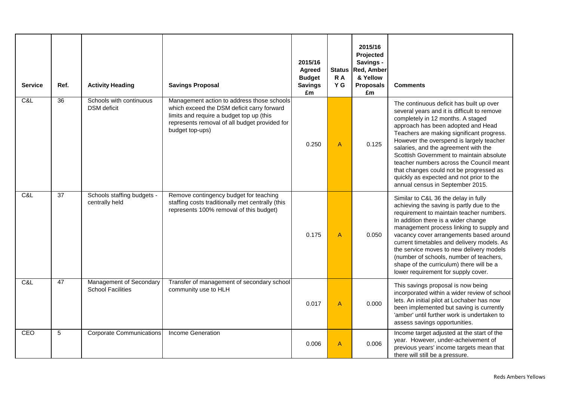| <b>Service</b> | Ref.            | <b>Activity Heading</b>                             | <b>Savings Proposal</b>                                                                                                                                                                                  | 2015/16<br>Agreed<br><b>Budget</b><br><b>Savings</b><br>£m | <b>Status</b><br>R A<br>Y G | 2015/16<br>Projected<br>Savings -<br><b>Red, Amber</b><br>& Yellow<br><b>Proposals</b><br>£m | <b>Comments</b>                                                                                                                                                                                                                                                                                                                                                                                                                                                                                                        |
|----------------|-----------------|-----------------------------------------------------|----------------------------------------------------------------------------------------------------------------------------------------------------------------------------------------------------------|------------------------------------------------------------|-----------------------------|----------------------------------------------------------------------------------------------|------------------------------------------------------------------------------------------------------------------------------------------------------------------------------------------------------------------------------------------------------------------------------------------------------------------------------------------------------------------------------------------------------------------------------------------------------------------------------------------------------------------------|
| C&L            | $\overline{36}$ | Schools with continuous<br><b>DSM</b> deficit       | Management action to address those schools<br>which exceed the DSM deficit carry forward<br>limits and require a budget top up (this<br>represents removal of all budget provided for<br>budget top-ups) | 0.250                                                      | $\mathsf{A}$                | 0.125                                                                                        | The continuous deficit has built up over<br>several years and it is difficult to remove<br>completely in 12 months. A staged<br>approach has been adopted and Head<br>Teachers are making significant progress.<br>However the overspend is largely teacher<br>salaries, and the agreement with the<br>Scottish Government to maintain absolute<br>teacher numbers across the Council meant<br>that changes could not be progressed as<br>quickly as expected and not prior to the<br>annual census in September 2015. |
| C&L            | 37              | Schools staffing budgets -<br>centrally held        | Remove contingency budget for teaching<br>staffing costs traditionally met centrally (this<br>represents 100% removal of this budget)                                                                    | 0.175                                                      | $\overline{A}$              | 0.050                                                                                        | Similar to C&L 36 the delay in fully<br>achieving the saving is partly due to the<br>requirement to maintain teacher numbers.<br>In addition there is a wider change<br>management process linking to supply and<br>vacancy cover arrangements based around<br>current timetables and delivery models. As<br>the service moves to new delivery models<br>(number of schools, number of teachers,<br>shape of the curriculum) there will be a<br>lower requirement for supply cover.                                    |
| C&L            | 47              | Management of Secondary<br><b>School Facilities</b> | Transfer of management of secondary school<br>community use to HLH                                                                                                                                       | 0.017                                                      | $\overline{A}$              | 0.000                                                                                        | This savings proposal is now being<br>incorporated within a wider review of school<br>lets. An initial pilot at Lochaber has now<br>been implemented but saving is currently<br>'amber' until further work is undertaken to<br>assess savings opportunities.                                                                                                                                                                                                                                                           |
| CEO            | 5               | <b>Corporate Communications</b>                     | Income Generation                                                                                                                                                                                        | 0.006                                                      | $\overline{A}$              | 0.006                                                                                        | Income target adjusted at the start of the<br>year. However, under-acheivement of<br>previous years' income targets mean that<br>there will still be a pressure.                                                                                                                                                                                                                                                                                                                                                       |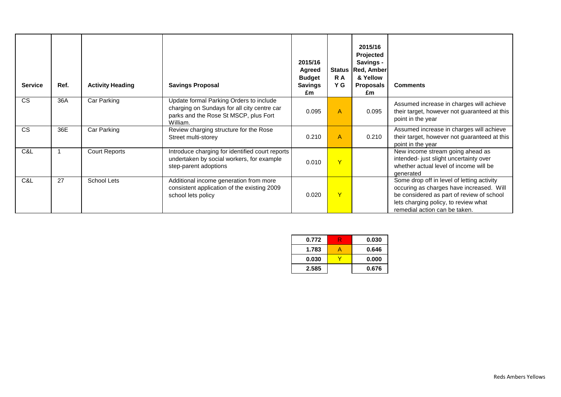| <b>Service</b> | Ref. | <b>Activity Heading</b> | <b>Savings Proposal</b>                                                                                                                     | 2015/16<br><b>Agreed</b><br><b>Budget</b><br><b>Savings</b><br>£m | <b>Status</b><br>R A<br>Y G | 2015/16<br><b>Projected</b><br>Savings -<br>Red, Amber<br>& Yellow<br><b>Proposals</b><br>£m | <b>Comments</b>                                                                                                                                                                                              |
|----------------|------|-------------------------|---------------------------------------------------------------------------------------------------------------------------------------------|-------------------------------------------------------------------|-----------------------------|----------------------------------------------------------------------------------------------|--------------------------------------------------------------------------------------------------------------------------------------------------------------------------------------------------------------|
| <b>CS</b>      | 36A  | Car Parking             | Update formal Parking Orders to include<br>charging on Sundays for all city centre car<br>parks and the Rose St MSCP, plus Fort<br>William. | 0.095                                                             | $\mathsf{A}$                | 0.095                                                                                        | Assumed increase in charges will achieve<br>their target, however not guaranteed at this<br>point in the year                                                                                                |
| CS             | 36E  | Car Parking             | Review charging structure for the Rose<br>Street multi-storey                                                                               | 0.210                                                             | $\mathsf{A}$                | 0.210                                                                                        | Assumed increase in charges will achieve<br>their target, however not guaranteed at this<br>point in the year                                                                                                |
| C&L            |      | <b>Court Reports</b>    | Introduce charging for identified court reports<br>undertaken by social workers, for example<br>step-parent adoptions                       | 0.010                                                             | Y                           |                                                                                              | New income stream going ahead as<br>intended- just slight uncertainty over<br>whether actual level of income will be<br>denerated                                                                            |
| C&L            | 27   | School Lets             | Additional income generation from more<br>consistent application of the existing 2009<br>school lets policy                                 | 0.020                                                             | Y                           |                                                                                              | Some drop off in level of letting activity<br>occuring as charges have increased. Will<br>be considered as part of review of school<br>lets charging policy, to review what<br>remedial action can be taken. |

| 0.772 | 0.030 |
|-------|-------|
| 1.783 | 0.646 |
| 0.030 | 0.000 |
| 2.585 | 0.676 |